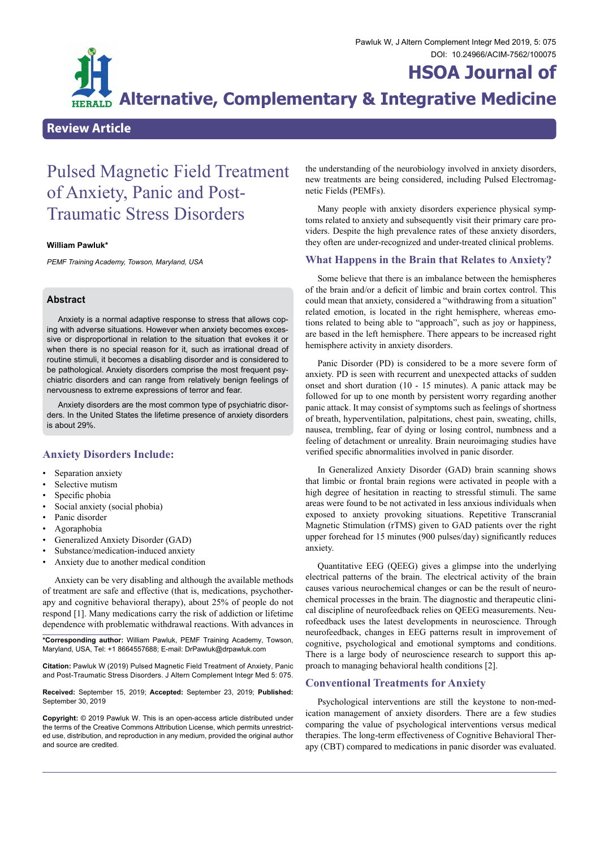# **HSOA Journal of**

**Alternative, Complementary & Integrative Medicine**

# **Review Article**

# Pulsed Magnetic Field Treatment of Anxiety, Panic and Post-Traumatic Stress Disorders

#### **William Pawluk\***

*PEMF Training Academy, Towson, Maryland, USA*

### **Abstract**

Anxiety is a normal adaptive response to stress that allows coping with adverse situations. However when anxiety becomes excessive or disproportional in relation to the situation that evokes it or when there is no special reason for it, such as irrational dread of routine stimuli, it becomes a disabling disorder and is considered to be pathological. Anxiety disorders comprise the most frequent psychiatric disorders and can range from relatively benign feelings of nervousness to extreme expressions of terror and fear.

Anxiety disorders are the most common type of psychiatric disorders. In the United States the lifetime presence of anxiety disorders is about 29%.

# **Anxiety Disorders Include:**

- Separation anxiety
- Selective mutism
- Specific phobia
- Social anxiety (social phobia)
- Panic disorder
- **Agoraphobia**
- Generalized Anxiety Disorder (GAD)
- Substance/medication-induced anxiety
- Anxiety due to another medical condition

Anxiety can be very disabling and although the available methods of treatment are safe and effective (that is, medications, psychotherapy and cognitive behavioral therapy), about 25% of people do not respond [1]. Many medications carry the risk of addiction or lifetime dependence with problematic withdrawal reactions. With advances in

**\*Corresponding author:** William Pawluk, PEMF Training Academy, Towson, Maryland, USA, Tel: +1 8664557688; E-mail: DrPawluk@drpawluk.com

**Citation:** Pawluk W (2019) Pulsed Magnetic Field Treatment of Anxiety, Panic and Post-Traumatic Stress Disorders. J Altern Complement Integr Med 5: 075.

**Received:** September 15, 2019; **Accepted:** September 23, 2019; **Published:** September 30, 2019

**Copyright:** © 2019 Pawluk W. This is an open-access article distributed under the terms of the Creative Commons Attribution License, which permits unrestricted use, distribution, and reproduction in any medium, provided the original author and source are credited.

the understanding of the neurobiology involved in anxiety disorders, new treatments are being considered, including Pulsed Electromagnetic Fields (PEMFs).

Many people with anxiety disorders experience physical symptoms related to anxiety and subsequently visit their primary care providers. Despite the high prevalence rates of these anxiety disorders, they often are under-recognized and under-treated clinical problems.

#### **What Happens in the Brain that Relates to Anxiety?**

Some believe that there is an imbalance between the hemispheres of the brain and/or a deficit of limbic and brain cortex control. This could mean that anxiety, considered a "withdrawing from a situation" related emotion, is located in the right hemisphere, whereas emotions related to being able to "approach", such as joy or happiness, are based in the left hemisphere. There appears to be increased right hemisphere activity in anxiety disorders.

Panic Disorder (PD) is considered to be a more severe form of anxiety. PD is seen with recurrent and unexpected attacks of sudden onset and short duration (10 - 15 minutes). A panic attack may be followed for up to one month by persistent worry regarding another panic attack. It may consist of symptoms such as feelings of shortness of breath, hyperventilation, palpitations, chest pain, sweating, chills, nausea, trembling, fear of dying or losing control, numbness and a feeling of detachment or unreality. Brain neuroimaging studies have verified specific abnormalities involved in panic disorder.

In Generalized Anxiety Disorder (GAD) brain scanning shows that limbic or frontal brain regions were activated in people with a high degree of hesitation in reacting to stressful stimuli. The same areas were found to be not activated in less anxious individuals when exposed to anxiety provoking situations. Repetitive Transcranial Magnetic Stimulation (rTMS) given to GAD patients over the right upper forehead for 15 minutes (900 pulses/day) significantly reduces anxiety.

Quantitative EEG (QEEG) gives a glimpse into the underlying electrical patterns of the brain. The electrical activity of the brain causes various neurochemical changes or can be the result of neurochemical processes in the brain. The diagnostic and therapeutic clinical discipline of neurofeedback relies on QEEG measurements. Neurofeedback uses the latest developments in neuroscience. Through neurofeedback, changes in EEG patterns result in improvement of cognitive, psychological and emotional symptoms and conditions. There is a large body of neuroscience research to support this approach to managing behavioral health conditions [2].

#### **Conventional Treatments for Anxiety**

Psychological interventions are still the keystone to non-medication management of anxiety disorders. There are a few studies comparing the value of psychological interventions versus medical therapies. The long-term effectiveness of Cognitive Behavioral Therapy (CBT) compared to medications in panic disorder was evaluated.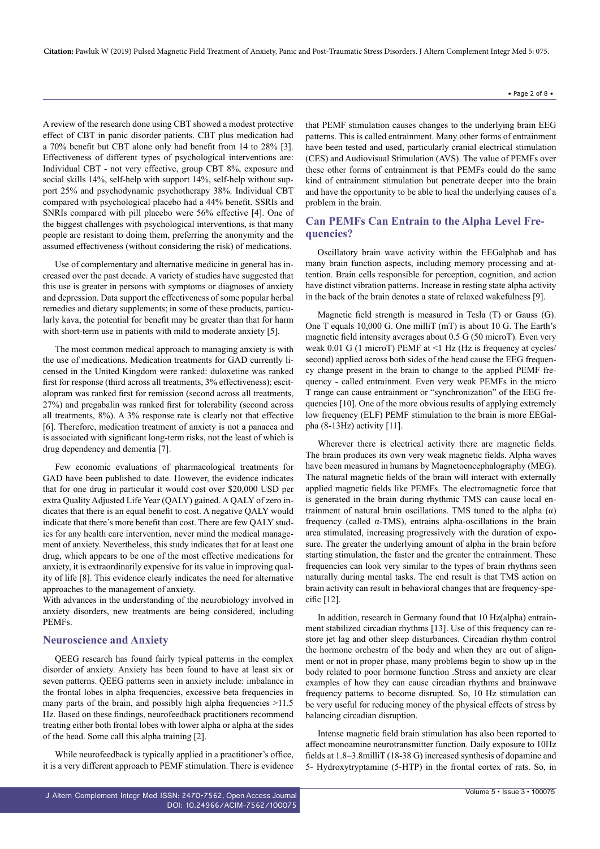#### • Page 2 of 8 •

A review of the research done using CBT showed a modest protective effect of CBT in panic disorder patients. CBT plus medication had a 70% benefit but CBT alone only had benefit from 14 to 28% [3]. Effectiveness of different types of psychological interventions are: Individual CBT - not very effective, group CBT 8%, exposure and social skills 14%, self-help with support 14%, self-help without support 25% and psychodynamic psychotherapy 38%. Individual CBT compared with psychological placebo had a 44% benefit. SSRIs and SNRIs compared with pill placebo were 56% effective [4]. One of the biggest challenges with psychological interventions, is that many people are resistant to doing them, preferring the anonymity and the assumed effectiveness (without considering the risk) of medications.

Use of complementary and alternative medicine in general has increased over the past decade. A variety of studies have suggested that this use is greater in persons with symptoms or diagnoses of anxiety and depression. Data support the effectiveness of some popular herbal remedies and dietary supplements; in some of these products, particularly kava, the potential for benefit may be greater than that for harm with short-term use in patients with mild to moderate anxiety [5].

The most common medical approach to managing anxiety is with the use of medications. Medication treatments for GAD currently licensed in the United Kingdom were ranked: duloxetine was ranked first for response (third across all treatments, 3% effectiveness); escitalopram was ranked first for remission (second across all treatments, 27%) and pregabalin was ranked first for tolerability (second across all treatments, 8%). A 3% response rate is clearly not that effective [6]. Therefore, medication treatment of anxiety is not a panacea and is associated with significant long-term risks, not the least of which is drug dependency and dementia [7].

Few economic evaluations of pharmacological treatments for GAD have been published to date. However, the evidence indicates that for one drug in particular it would cost over \$20,000 USD per extra Quality Adjusted Life Year (QALY) gained. A QALY of zero indicates that there is an equal benefit to cost. A negative QALY would indicate that there's more benefit than cost. There are few QALY studies for any health care intervention, never mind the medical management of anxiety. Nevertheless, this study indicates that for at least one drug, which appears to be one of the most effective medications for anxiety, it is extraordinarily expensive for its value in improving quality of life [8]. This evidence clearly indicates the need for alternative approaches to the management of anxiety.

With advances in the understanding of the neurobiology involved in anxiety disorders, new treatments are being considered, including PEMFs.

# **Neuroscience and Anxiety**

QEEG research has found fairly typical patterns in the complex disorder of anxiety. Anxiety has been found to have at least six or seven patterns. QEEG patterns seen in anxiety include: imbalance in the frontal lobes in alpha frequencies, excessive beta frequencies in many parts of the brain, and possibly high alpha frequencies  $>11.5$ Hz. Based on these findings, neurofeedback practitioners recommend treating either both frontal lobes with lower alpha or alpha at the sides of the head. Some call this alpha training [2].

While neurofeedback is typically applied in a practitioner's office, it is a very different approach to PEMF stimulation. There is evidence that PEMF stimulation causes changes to the underlying brain EEG patterns. This is called entrainment. Many other forms of entrainment have been tested and used, particularly cranial electrical stimulation (CES) and Audiovisual Stimulation (AVS). The value of PEMFs over these other forms of entrainment is that PEMFs could do the same kind of entrainment stimulation but penetrate deeper into the brain and have the opportunity to be able to heal the underlying causes of a problem in the brain.

# **Can PEMFs Can Entrain to the Alpha Level Frequencies?**

Oscillatory brain wave activity within the EEGalphab and has many brain function aspects, including memory processing and attention. Brain cells responsible for perception, cognition, and action have distinct vibration patterns. Increase in resting state alpha activity in the back of the brain denotes a state of relaxed wakefulness [9].

Magnetic field strength is measured in Tesla (T) or Gauss (G). One T equals 10,000 G. One milliT (mT) is about 10 G. The Earth's magnetic field intensity averages about 0.5 G (50 microT). Even very weak 0.01 G (1 microT) PEMF at <1 Hz (Hz is frequency at cycles/ second) applied across both sides of the head cause the EEG frequency change present in the brain to change to the applied PEMF frequency - called entrainment. Even very weak PEMFs in the micro T range can cause entrainment or "synchronization" of the EEG frequencies [10]. One of the more obvious results of applying extremely low frequency (ELF) PEMF stimulation to the brain is more EEGalpha (8-13Hz) activity [11].

Wherever there is electrical activity there are magnetic fields. The brain produces its own very weak magnetic fields. Alpha waves have been measured in humans by Magnetoencephalography (MEG). The natural magnetic fields of the brain will interact with externally applied magnetic fields like PEMFs. The electromagnetic force that is generated in the brain during rhythmic TMS can cause local entrainment of natural brain oscillations. TMS tuned to the alpha (α) frequency (called  $\alpha$ -TMS), entrains alpha-oscillations in the brain area stimulated, increasing progressively with the duration of exposure. The greater the underlying amount of alpha in the brain before starting stimulation, the faster and the greater the entrainment. These frequencies can look very similar to the types of brain rhythms seen naturally during mental tasks. The end result is that TMS action on brain activity can result in behavioral changes that are frequency-specific [12].

In addition, research in Germany found that 10 Hz(alpha) entrainment stabilized circadian rhythms [13]. Use of this frequency can restore jet lag and other sleep disturbances. Circadian rhythm control the hormone orchestra of the body and when they are out of alignment or not in proper phase, many problems begin to show up in the body related to poor hormone function .Stress and anxiety are clear examples of how they can cause circadian rhythms and brainwave frequency patterns to become disrupted. So, 10 Hz stimulation can be very useful for reducing money of the physical effects of stress by balancing circadian disruption.

Intense magnetic field brain stimulation has also been reported to affect monoamine neurotransmitter function. Daily exposure to 10Hz fields at 1.8–3.8milliT (18-38 G) increased synthesis of dopamine and 5- Hydroxytryptamine (5-HTP) in the frontal cortex of rats. So, in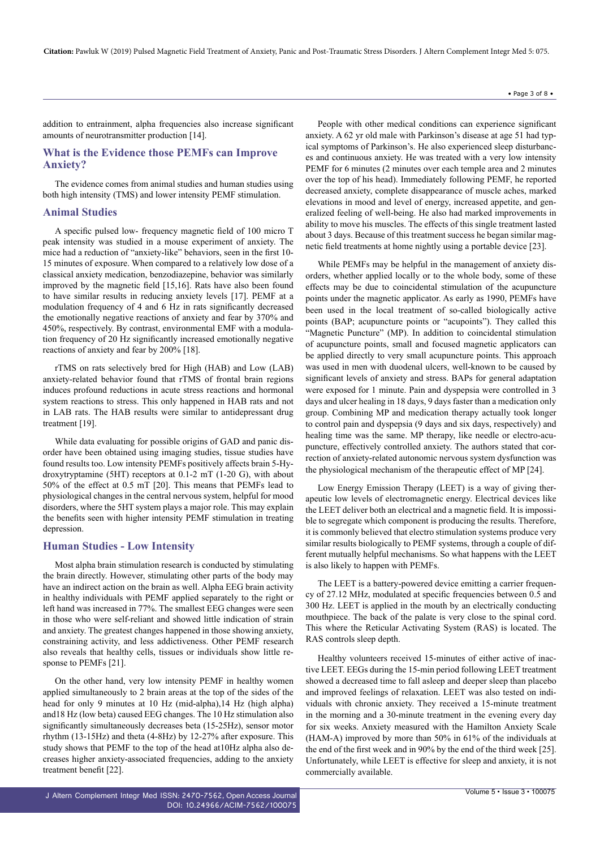addition to entrainment, alpha frequencies also increase significant amounts of neurotransmitter production [14].

## **What is the Evidence those PEMFs can Improve Anxiety?**

The evidence comes from animal studies and human studies using both high intensity (TMS) and lower intensity PEMF stimulation.

#### **Animal Studies**

A specific pulsed low- frequency magnetic field of 100 micro T peak intensity was studied in a mouse experiment of anxiety. The mice had a reduction of "anxiety-like" behaviors, seen in the first 10- 15 minutes of exposure. When compared to a relatively low dose of a classical anxiety medication, benzodiazepine, behavior was similarly improved by the magnetic field [15,16]. Rats have also been found to have similar results in reducing anxiety levels [17]. PEMF at a modulation frequency of 4 and 6 Hz in rats significantly decreased the emotionally negative reactions of anxiety and fear by 370% and 450%, respectively. By contrast, environmental EMF with a modulation frequency of 20 Hz significantly increased emotionally negative reactions of anxiety and fear by 200% [18].

rTMS on rats selectively bred for High (HAB) and Low (LAB) anxiety-related behavior found that rTMS of frontal brain regions induces profound reductions in acute stress reactions and hormonal system reactions to stress. This only happened in HAB rats and not in LAB rats. The HAB results were similar to antidepressant drug treatment [19].

While data evaluating for possible origins of GAD and panic disorder have been obtained using imaging studies, tissue studies have found results too. Low intensity PEMFs positively affects brain 5-Hydroxytryptamine (5HT) receptors at 0.1-2 mT (1-20 G), with about 50% of the effect at 0.5 mT [20]. This means that PEMFs lead to physiological changes in the central nervous system, helpful for mood disorders, where the 5HT system plays a major role. This may explain the benefits seen with higher intensity PEMF stimulation in treating depression.

#### **Human Studies - Low Intensity**

Most alpha brain stimulation research is conducted by stimulating the brain directly. However, stimulating other parts of the body may have an indirect action on the brain as well. Alpha EEG brain activity in healthy individuals with PEMF applied separately to the right or left hand was increased in 77%. The smallest EEG changes were seen in those who were self-reliant and showed little indication of strain and anxiety. The greatest changes happened in those showing anxiety, constraining activity, and less addictiveness. Other PEMF research also reveals that healthy cells, tissues or individuals show little response to PEMFs [21].

On the other hand, very low intensity PEMF in healthy women applied simultaneously to 2 brain areas at the top of the sides of the head for only 9 minutes at 10 Hz (mid-alpha),14 Hz (high alpha) and18 Hz (low beta) caused EEG changes. The 10 Hz stimulation also significantly simultaneously decreases beta (15-25Hz), sensor motor rhythm (13-15Hz) and theta (4-8Hz) by 12-27% after exposure. This study shows that PEMF to the top of the head at10Hz alpha also decreases higher anxiety-associated frequencies, adding to the anxiety treatment benefit [22].

People with other medical conditions can experience significant anxiety. A 62 yr old male with Parkinson's disease at age 51 had typical symptoms of Parkinson's. He also experienced sleep disturbances and continuous anxiety. He was treated with a very low intensity PEMF for 6 minutes (2 minutes over each temple area and 2 minutes over the top of his head). Immediately following PEMF, he reported decreased anxiety, complete disappearance of muscle aches, marked elevations in mood and level of energy, increased appetite, and generalized feeling of well-being. He also had marked improvements in ability to move his muscles. The effects of this single treatment lasted about 3 days. Because of this treatment success he began similar magnetic field treatments at home nightly using a portable device [23].

While PEMFs may be helpful in the management of anxiety disorders, whether applied locally or to the whole body, some of these effects may be due to coincidental stimulation of the acupuncture points under the magnetic applicator. As early as 1990, PEMFs have been used in the local treatment of so-called biologically active points (BAP; acupuncture points or "acupoints"). They called this "Magnetic Puncture" (MP). In addition to coincidental stimulation of acupuncture points, small and focused magnetic applicators can be applied directly to very small acupuncture points. This approach was used in men with duodenal ulcers, well-known to be caused by significant levels of anxiety and stress. BAPs for general adaptation were exposed for 1 minute. Pain and dyspepsia were controlled in 3 days and ulcer healing in 18 days, 9 days faster than a medication only group. Combining MP and medication therapy actually took longer to control pain and dyspepsia (9 days and six days, respectively) and healing time was the same. MP therapy, like needle or electro-acupuncture, effectively controlled anxiety. The authors stated that correction of anxiety-related autonomic nervous system dysfunction was the physiological mechanism of the therapeutic effect of MP [24].

Low Energy Emission Therapy (LEET) is a way of giving therapeutic low levels of electromagnetic energy. Electrical devices like the LEET deliver both an electrical and a magnetic field. It is impossible to segregate which component is producing the results. Therefore, it is commonly believed that electro stimulation systems produce very similar results biologically to PEMF systems, through a couple of different mutually helpful mechanisms. So what happens with the LEET is also likely to happen with PEMFs.

The LEET is a battery-powered device emitting a carrier frequency of 27.12 MHz, modulated at specific frequencies between 0.5 and 300 Hz. LEET is applied in the mouth by an electrically conducting mouthpiece. The back of the palate is very close to the spinal cord. This where the Reticular Activating System (RAS) is located. The RAS controls sleep depth.

Healthy volunteers received 15-minutes of either active of inactive LEET. EEGs during the 15-min period following LEET treatment showed a decreased time to fall asleep and deeper sleep than placebo and improved feelings of relaxation. LEET was also tested on individuals with chronic anxiety. They received a 15-minute treatment in the morning and a 30-minute treatment in the evening every day for six weeks. Anxiety measured with the Hamilton Anxiety Scale (HAM-A) improved by more than 50% in 61% of the individuals at the end of the first week and in 90% by the end of the third week [25]. Unfortunately, while LEET is effective for sleep and anxiety, it is not commercially available.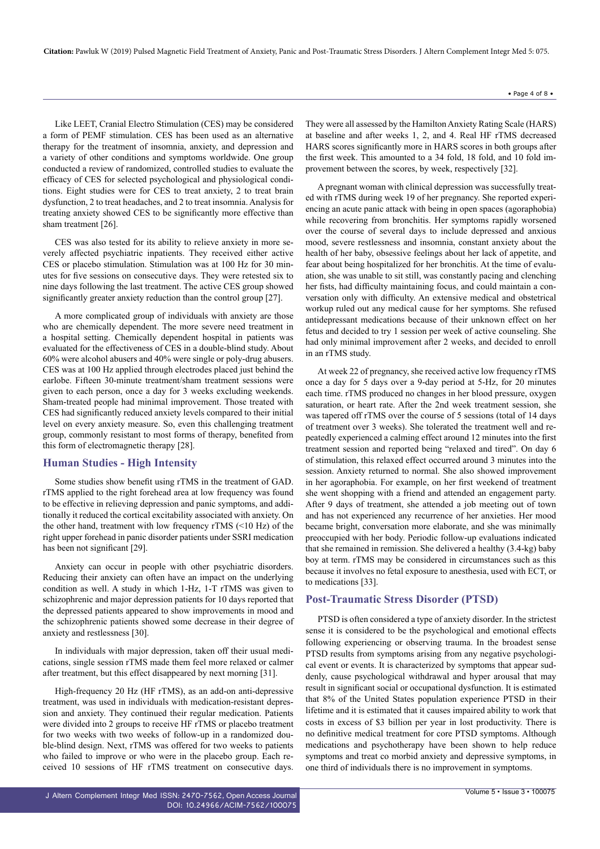Like LEET, Cranial Electro Stimulation (CES) may be considered a form of PEMF stimulation. CES has been used as an alternative therapy for the treatment of insomnia, anxiety, and depression and a variety of other conditions and symptoms worldwide. One group conducted a review of randomized, controlled studies to evaluate the efficacy of CES for selected psychological and physiological conditions. Eight studies were for CES to treat anxiety, 2 to treat brain dysfunction, 2 to treat headaches, and 2 to treat insomnia. Analysis for treating anxiety showed CES to be significantly more effective than sham treatment [26].

CES was also tested for its ability to relieve anxiety in more severely affected psychiatric inpatients. They received either active CES or placebo stimulation. Stimulation was at 100 Hz for 30 minutes for five sessions on consecutive days. They were retested six to nine days following the last treatment. The active CES group showed significantly greater anxiety reduction than the control group [27].

A more complicated group of individuals with anxiety are those who are chemically dependent. The more severe need treatment in a hospital setting. Chemically dependent hospital in patients was evaluated for the effectiveness of CES in a double-blind study. About 60% were alcohol abusers and 40% were single or poly-drug abusers. CES was at 100 Hz applied through electrodes placed just behind the earlobe. Fifteen 30-minute treatment/sham treatment sessions were given to each person, once a day for 3 weeks excluding weekends. Sham-treated people had minimal improvement. Those treated with CES had significantly reduced anxiety levels compared to their initial level on every anxiety measure. So, even this challenging treatment group, commonly resistant to most forms of therapy, benefited from this form of electromagnetic therapy [28].

#### **Human Studies - High Intensity**

Some studies show benefit using rTMS in the treatment of GAD. rTMS applied to the right forehead area at low frequency was found to be effective in relieving depression and panic symptoms, and additionally it reduced the cortical excitability associated with anxiety. On the other hand, treatment with low frequency rTMS (<10 Hz) of the right upper forehead in panic disorder patients under SSRI medication has been not significant [29].

Anxiety can occur in people with other psychiatric disorders. Reducing their anxiety can often have an impact on the underlying condition as well. A study in which 1-Hz, 1-T rTMS was given to schizophrenic and major depression patients for 10 days reported that the depressed patients appeared to show improvements in mood and the schizophrenic patients showed some decrease in their degree of anxiety and restlessness [30].

In individuals with major depression, taken off their usual medications, single session rTMS made them feel more relaxed or calmer after treatment, but this effect disappeared by next morning [31].

High-frequency 20 Hz (HF rTMS), as an add-on anti-depressive treatment, was used in individuals with medication-resistant depression and anxiety. They continued their regular medication. Patients were divided into 2 groups to receive HF rTMS or placebo treatment for two weeks with two weeks of follow-up in a randomized double-blind design. Next, rTMS was offered for two weeks to patients who failed to improve or who were in the placebo group. Each received 10 sessions of HF rTMS treatment on consecutive days. They were all assessed by the Hamilton Anxiety Rating Scale (HARS) at baseline and after weeks 1, 2, and 4. Real HF rTMS decreased HARS scores significantly more in HARS scores in both groups after the first week. This amounted to a 34 fold, 18 fold, and 10 fold improvement between the scores, by week, respectively [32].

A pregnant woman with clinical depression was successfully treated with rTMS during week 19 of her pregnancy. She reported experiencing an acute panic attack with being in open spaces (agoraphobia) while recovering from bronchitis. Her symptoms rapidly worsened over the course of several days to include depressed and anxious mood, severe restlessness and insomnia, constant anxiety about the health of her baby, obsessive feelings about her lack of appetite, and fear about being hospitalized for her bronchitis. At the time of evaluation, she was unable to sit still, was constantly pacing and clenching her fists, had difficulty maintaining focus, and could maintain a conversation only with difficulty. An extensive medical and obstetrical workup ruled out any medical cause for her symptoms. She refused antidepressant medications because of their unknown effect on her fetus and decided to try 1 session per week of active counseling. She had only minimal improvement after 2 weeks, and decided to enroll in an rTMS study.

At week 22 of pregnancy, she received active low frequency rTMS once a day for 5 days over a 9-day period at 5-Hz, for 20 minutes each time. rTMS produced no changes in her blood pressure, oxygen saturation, or heart rate. After the 2nd week treatment session, she was tapered off rTMS over the course of 5 sessions (total of 14 days of treatment over 3 weeks). She tolerated the treatment well and repeatedly experienced a calming effect around 12 minutes into the first treatment session and reported being "relaxed and tired". On day 6 of stimulation, this relaxed effect occurred around 3 minutes into the session. Anxiety returned to normal. She also showed improvement in her agoraphobia. For example, on her first weekend of treatment she went shopping with a friend and attended an engagement party. After 9 days of treatment, she attended a job meeting out of town and has not experienced any recurrence of her anxieties. Her mood became bright, conversation more elaborate, and she was minimally preoccupied with her body. Periodic follow-up evaluations indicated that she remained in remission. She delivered a healthy (3.4-kg) baby boy at term. rTMS may be considered in circumstances such as this because it involves no fetal exposure to anesthesia, used with ECT, or to medications [33].

## **Post-Traumatic Stress Disorder (PTSD)**

PTSD is often considered a type of anxiety disorder. In the strictest sense it is considered to be the psychological and emotional effects following experiencing or observing trauma. In the broadest sense PTSD results from symptoms arising from any negative psychological event or events. It is characterized by symptoms that appear suddenly, cause psychological withdrawal and hyper arousal that may result in significant social or occupational dysfunction. It is estimated that 8% of the United States population experience PTSD in their lifetime and it is estimated that it causes impaired ability to work that costs in excess of \$3 billion per year in lost productivity. There is no definitive medical treatment for core PTSD symptoms. Although medications and psychotherapy have been shown to help reduce symptoms and treat co morbid anxiety and depressive symptoms, in one third of individuals there is no improvement in symptoms.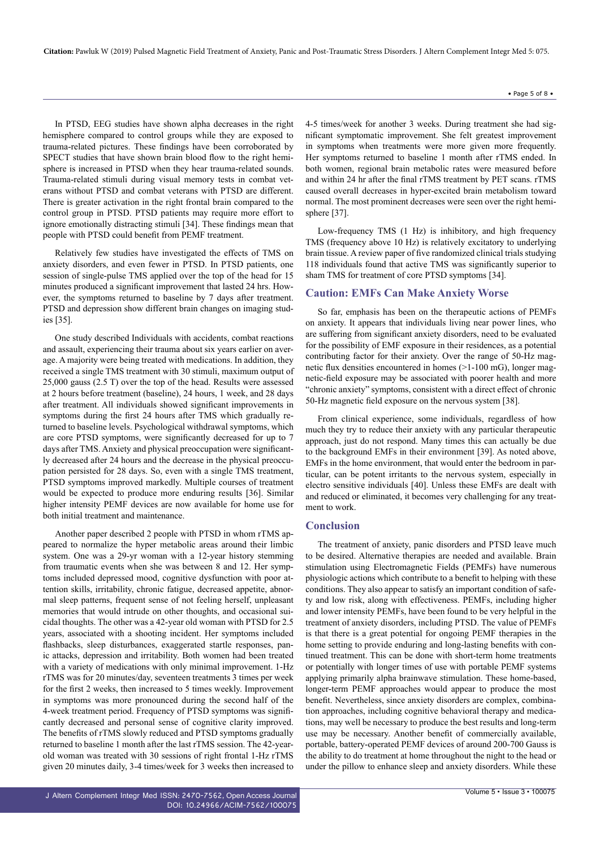In PTSD, EEG studies have shown alpha decreases in the right hemisphere compared to control groups while they are exposed to trauma-related pictures. These findings have been corroborated by SPECT studies that have shown brain blood flow to the right hemisphere is increased in PTSD when they hear trauma-related sounds. Trauma-related stimuli during visual memory tests in combat veterans without PTSD and combat veterans with PTSD are different. There is greater activation in the right frontal brain compared to the control group in PTSD. PTSD patients may require more effort to ignore emotionally distracting stimuli [34]. These findings mean that people with PTSD could benefit from PEMF treatment.

Relatively few studies have investigated the effects of TMS on anxiety disorders, and even fewer in PTSD. In PTSD patients, one session of single-pulse TMS applied over the top of the head for 15 minutes produced a significant improvement that lasted 24 hrs. However, the symptoms returned to baseline by 7 days after treatment. PTSD and depression show different brain changes on imaging studies [35].

One study described Individuals with accidents, combat reactions and assault, experiencing their trauma about six years earlier on average. A majority were being treated with medications. In addition, they received a single TMS treatment with 30 stimuli, maximum output of 25,000 gauss (2.5 T) over the top of the head. Results were assessed at 2 hours before treatment (baseline), 24 hours, 1 week, and 28 days after treatment. All individuals showed significant improvements in symptoms during the first 24 hours after TMS which gradually returned to baseline levels. Psychological withdrawal symptoms, which are core PTSD symptoms, were significantly decreased for up to 7 days after TMS. Anxiety and physical preoccupation were significantly decreased after 24 hours and the decrease in the physical preoccupation persisted for 28 days. So, even with a single TMS treatment, PTSD symptoms improved markedly. Multiple courses of treatment would be expected to produce more enduring results [36]. Similar higher intensity PEMF devices are now available for home use for both initial treatment and maintenance.

Another paper described 2 people with PTSD in whom rTMS appeared to normalize the hyper metabolic areas around their limbic system. One was a 29-yr woman with a 12-year history stemming from traumatic events when she was between 8 and 12. Her symptoms included depressed mood, cognitive dysfunction with poor attention skills, irritability, chronic fatigue, decreased appetite, abnormal sleep patterns, frequent sense of not feeling herself, unpleasant memories that would intrude on other thoughts, and occasional suicidal thoughts. The other was a 42-year old woman with PTSD for 2.5 years, associated with a shooting incident. Her symptoms included flashbacks, sleep disturbances, exaggerated startle responses, panic attacks, depression and irritability. Both women had been treated with a variety of medications with only minimal improvement. 1-Hz rTMS was for 20 minutes/day, seventeen treatments 3 times per week for the first 2 weeks, then increased to 5 times weekly. Improvement in symptoms was more pronounced during the second half of the 4-week treatment period. Frequency of PTSD symptoms was significantly decreased and personal sense of cognitive clarity improved. The benefits of rTMS slowly reduced and PTSD symptoms gradually returned to baseline 1 month after the last rTMS session. The 42-yearold woman was treated with 30 sessions of right frontal 1-Hz rTMS given 20 minutes daily, 3-4 times/week for 3 weeks then increased to

4-5 times/week for another 3 weeks. During treatment she had significant symptomatic improvement. She felt greatest improvement in symptoms when treatments were more given more frequently. Her symptoms returned to baseline 1 month after rTMS ended. In both women, regional brain metabolic rates were measured before and within 24 hr after the final rTMS treatment by PET scans. rTMS caused overall decreases in hyper-excited brain metabolism toward normal. The most prominent decreases were seen over the right hemisphere [37].

Low-frequency TMS (1 Hz) is inhibitory, and high frequency TMS (frequency above 10 Hz) is relatively excitatory to underlying brain tissue. A review paper of five randomized clinical trials studying 118 individuals found that active TMS was significantly superior to sham TMS for treatment of core PTSD symptoms [34].

#### **Caution: EMFs Can Make Anxiety Worse**

So far, emphasis has been on the therapeutic actions of PEMFs on anxiety. It appears that individuals living near power lines, who are suffering from significant anxiety disorders, need to be evaluated for the possibility of EMF exposure in their residences, as a potential contributing factor for their anxiety. Over the range of 50-Hz magnetic flux densities encountered in homes (>1-100 mG), longer magnetic-field exposure may be associated with poorer health and more "chronic anxiety" symptoms, consistent with a direct effect of chronic 50-Hz magnetic field exposure on the nervous system [38].

From clinical experience, some individuals, regardless of how much they try to reduce their anxiety with any particular therapeutic approach, just do not respond. Many times this can actually be due to the background EMFs in their environment [39]. As noted above, EMFs in the home environment, that would enter the bedroom in particular, can be potent irritants to the nervous system, especially in electro sensitive individuals [40]. Unless these EMFs are dealt with and reduced or eliminated, it becomes very challenging for any treatment to work.

#### **Conclusion**

The treatment of anxiety, panic disorders and PTSD leave much to be desired. Alternative therapies are needed and available. Brain stimulation using Electromagnetic Fields (PEMFs) have numerous physiologic actions which contribute to a benefit to helping with these conditions. They also appear to satisfy an important condition of safety and low risk, along with effectiveness. PEMFs, including higher and lower intensity PEMFs, have been found to be very helpful in the treatment of anxiety disorders, including PTSD. The value of PEMFs is that there is a great potential for ongoing PEMF therapies in the home setting to provide enduring and long-lasting benefits with continued treatment. This can be done with short-term home treatments or potentially with longer times of use with portable PEMF systems applying primarily alpha brainwave stimulation. These home-based, longer-term PEMF approaches would appear to produce the most benefit. Nevertheless, since anxiety disorders are complex, combination approaches, including cognitive behavioral therapy and medications, may well be necessary to produce the best results and long-term use may be necessary. Another benefit of commercially available, portable, battery-operated PEMF devices of around 200-700 Gauss is the ability to do treatment at home throughout the night to the head or under the pillow to enhance sleep and anxiety disorders. While these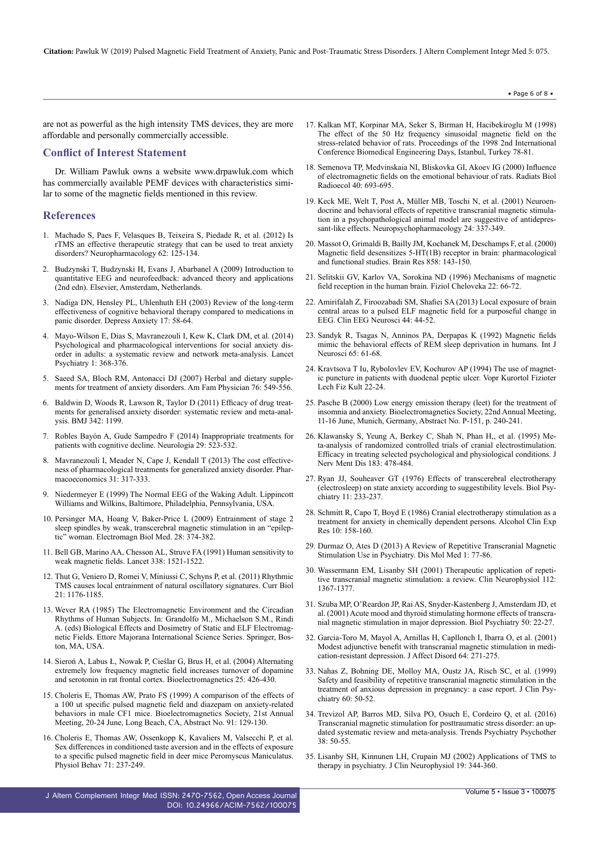are not as powerful as the high intensity TMS devices, they are more affordable and personally commercially accessible.

# **Conflict of Interest Statement**

Dr. William Pawluk owns a website [www.drpawluk.com](http://www.drpawluk.com/) which has commercially available PEMF devices with characteristics similar to some of the magnetic fields mentioned in this review.

#### **References**

- 1. Machado S, Paes F, [Velasques](https://www.ncbi.nlm.nih.gov/pubmed/21807002) B, Teixeira S, Piedade R, et al. (2012) Is rTMS an effective [therapeutic](https://www.ncbi.nlm.nih.gov/pubmed/21807002) strategy that can be used to treat anxiety disorders? [Neuropharmacology](https://www.ncbi.nlm.nih.gov/pubmed/21807002) 62: 125-134.
- 2. Budzynski T, Budzynski H, Evans J, Abarbanel A (2009) [Introduction](https://www.elsevier.com/books/introduction-to-quantitative-eeg-and-neurofeedback/budzynski/978-0-12-374534-7) to quantitative EEG and [neurofeedback:](https://www.elsevier.com/books/introduction-to-quantitative-eeg-and-neurofeedback/budzynski/978-0-12-374534-7) advanced theory and applications (2nd edn). Elsevier, Amsterdam, [Netherlands.](https://www.elsevier.com/books/introduction-to-quantitative-eeg-and-neurofeedback/budzynski/978-0-12-374534-7)
- 3. Nadiga DN, Hensley PL, [Uhlenhuth](https://www.ncbi.nlm.nih.gov/pubmed/12621593) EH (2003) Review of the long-term [effectiveness](https://www.ncbi.nlm.nih.gov/pubmed/12621593) of cognitive behavioral therapy compared to medications in panic [disorder.](https://www.ncbi.nlm.nih.gov/pubmed/12621593) Depress Anxiety 17: 58-64.
- 4. Mayo-Wilson E, Dias S, [Mavranezouli](https://www.thelancet.com/journals/lanpsy/article/PIIS2215-0366(14)70329-3/fulltext) I, Kew K, Clark DM, et al. (2014) Psychological and [pharmacological](https://www.thelancet.com/journals/lanpsy/article/PIIS2215-0366(14)70329-3/fulltext) interventions for social anxiety disorder in adults: a systematic review and network [meta-analysis.](https://www.thelancet.com/journals/lanpsy/article/PIIS2215-0366(14)70329-3/fulltext) Lancet [Psychiatry](https://www.thelancet.com/journals/lanpsy/article/PIIS2215-0366(14)70329-3/fulltext) 1: 368-376.
- 5. Saeed SA, Bloch RM, [Antonacci](https://www.ncbi.nlm.nih.gov/pubmed/17853630) DJ (2007) Herbal and dietary supplements for treatment of anxiety [disorders.](https://www.ncbi.nlm.nih.gov/pubmed/17853630) Am Fam Physician 76: 549-556.
- 6. Baldwin D, Woods R, Lawson R, Taylor D (2011) [Efficacy](https://www.bmj.com/content/342/bmj.d1199) of drug treatments for [generalised](https://www.bmj.com/content/342/bmj.d1199) anxiety disorder: systematic review and meta-analysis. BMJ 342: [1199.](https://www.bmj.com/content/342/bmj.d1199)
- 7. Robles Bayón A, Gude Sampedro F (2014) [Inappropriate](https://www.ncbi.nlm.nih.gov/pubmed/23062764) treatments for patients with cognitive decline. [Neurologia](https://www.ncbi.nlm.nih.gov/pubmed/23062764) 29: 523-532.
- 8. [Mavranezouli](https://www.ncbi.nlm.nih.gov/pubmed/23512146) I, Meader N, Cape J, Kendall T (2013) The cost effectiveness of [pharmacological](https://www.ncbi.nlm.nih.gov/pubmed/23512146) treatments for generalized anxiety disorder. Phar[macoeconomics](https://www.ncbi.nlm.nih.gov/pubmed/23512146) 31: 317-333.
- 9. [Niedermeyer](http://www.ccs.fau.edu/~bressler/EDU/EPhys/References/Niedermeyer_1999.pdf) E (1999) The Normal EEG of the Waking Adult. Lippincott Williams and Wilkins, Baltimore, Philadelphia, [Pennsylvania,](http://www.ccs.fau.edu/~bressler/EDU/EPhys/References/Niedermeyer_1999.pdf) USA.
- 10. Persinger MA, Hoang V, Baker-Price L (2009) [Entrainment](https://www.ncbi.nlm.nih.gov/pubmed/20017628) of stage 2 sleep spindles by weak, [transcerebral](https://www.ncbi.nlm.nih.gov/pubmed/20017628) magnetic stimulation in an "epileptic" woman. [Electromagn](https://www.ncbi.nlm.nih.gov/pubmed/20017628) Biol Med. 28: 374-382.
- 11. Bell GB, Marino AA, Chesson AL, Struve FA (1991) Human [sensitivity](https://www.ncbi.nlm.nih.gov/pubmed/1683938) to weak magnetic fields. Lancet 338: [1521-1522.](https://www.ncbi.nlm.nih.gov/pubmed/1683938)
- 12. Thut G, Veniero D, Romei V, Miniussi C, Schyns P, et al. (2011) [Rhythmic](https://www.ncbi.nlm.nih.gov/pubmed/21723129) TMS causes local [entrainment](https://www.ncbi.nlm.nih.gov/pubmed/21723129) of natural oscillatory signatures. Curr Biol 21: [1176-1185.](https://www.ncbi.nlm.nih.gov/pubmed/21723129)
- 13. Wever RA (1985) The [Electromagnetic](https://link.springer.com/chapter/10.1007/978-1-4613-2099-9_27%5d) Environment and the Circadian Rhythms of Human Subjects. In: Grandolfo M., [Michaelson](https://link.springer.com/chapter/10.1007/978-1-4613-2099-9_27%5d) S.M., Rindi A. (eds) Biological Effects and Dosimetry of Static and ELF [Electromag](https://link.springer.com/chapter/10.1007/978-1-4613-2099-9_27%5d)netic Fields. Ettore Majorana [International](https://link.springer.com/chapter/10.1007/978-1-4613-2099-9_27%5d) Science Series. Springer, Boston, MA, [USA.](https://link.springer.com/chapter/10.1007/978-1-4613-2099-9_27%5d)
- 14. Sieroń A, Labus Ł, Nowak P, Cieślar G, Brus H, et al. (2004) [Alternating](https://www.ncbi.nlm.nih.gov/pubmed/15300728) extremely low [frequency](https://www.ncbi.nlm.nih.gov/pubmed/15300728) magnetic field increases turnover of dopamine and serotonin in rat frontal cortex. [Bioelectromagnetics](https://www.ncbi.nlm.nih.gov/pubmed/15300728) 25: 426-430.
- 15. Choleris E, Thomas AW, Prato FS (1999) A comparison of the effects of a 100 ut specific pulsed magnetic field and diazepam on anxiety-related behaviors in male CF1 mice. Bioelectromagnetics Society, 21st Annual Meeting, 20-24 June, Long Beach, CA, Abstract No. 91: 129-130.
- 16. Choleris E, Thomas AW, [Ossenkopp](https://www.ncbi.nlm.nih.gov/pubmed/11150555) K, Kavaliers M, Valsecchi P, et al. Sex differences in [conditioned](https://www.ncbi.nlm.nih.gov/pubmed/11150555) taste aversion and in the effects of exposure to a specific pulsed magnetic field in deer mice Peromyscus [Maniculatus.](https://www.ncbi.nlm.nih.gov/pubmed/11150555) Physiol Behav 71: [237-249.](https://www.ncbi.nlm.nih.gov/pubmed/11150555)
- 17. Kalkan MT, Korpinar MA, Seker S, Birman H, Hacibekiroglu M (1998) The effect of the 50 Hz frequency sinusoidal magnetic field on the stress-related behavior of rats. Proceedings of the 1998 2nd International Conference Biomedical Engineering Days, Istanbul, Turkey 78-81.
- 18. Semenova TP, [Medvinskaia](https://www.ncbi.nlm.nih.gov/pubmed/11155339) NI, Bliskovka GI, Akoev IG (2000) Influence of [electromagnetic](https://www.ncbi.nlm.nih.gov/pubmed/11155339) fields on the emotional behaviour of rats. Radiats Biol [Radioecol](https://www.ncbi.nlm.nih.gov/pubmed/11155339) 40: 693-695.
- 19. Keck ME, Welt T, Post A, Müller MB, Toschi N, et al. (2001) [Neuroen](https://www.ncbi.nlm.nih.gov/pubmed/11182529)docrine and behavioral effects of repetitive [transcranial](https://www.ncbi.nlm.nih.gov/pubmed/11182529) magnetic stimulation in a [psychopathological](https://www.ncbi.nlm.nih.gov/pubmed/11182529) animal model are suggestive of antidepressant-like effects. [Neuropsychopharmacology](https://www.ncbi.nlm.nih.gov/pubmed/11182529) 24: 337-349.
- 20. Massot O, Grimaldi B, Bailly JM, Kochanek M, [Deschamps](https://www.ncbi.nlm.nih.gov/pubmed/10700607) F, et al. (2000) Magnetic field desensitizes 5-HT(1B) receptor in brain: [pharmacological](https://www.ncbi.nlm.nih.gov/pubmed/10700607) and [functional](https://www.ncbi.nlm.nih.gov/pubmed/10700607) studies. Brain Res 858: 143-150.
- 21. Selitskii GV, Karlov VA, Sorokina ND (1996) Mechanisms of magnetic field reception in the human brain. Fiziol Cheloveka 22: 66-72.
- 22. Amirifalah Z, [Firoozabadi](https://www.ncbi.nlm.nih.gov/pubmed/23467798) SM, Shafiei SA (2013) Local exposure of brain central areas to a pulsed ELF magnetic field for a [purposeful](https://www.ncbi.nlm.nih.gov/pubmed/23467798) change in EEG. Clin EEG [Neurosci](https://www.ncbi.nlm.nih.gov/pubmed/23467798) 44: 44-52.
- 23. Sandyk R, Tsagas N, Anninos PA, Derpapas K (1992) [Magnetic](https://www.ncbi.nlm.nih.gov/pubmed/1341692) fields mimic the behavioral effects of REM sleep [deprivation](https://www.ncbi.nlm.nih.gov/pubmed/1341692) in humans. Int J [Neurosci](https://www.ncbi.nlm.nih.gov/pubmed/1341692) 65: 61-68.
- 24. Kravtsova T Iu, [Rybolovlev](https://www.ncbi.nlm.nih.gov/pubmed/8171845) EV, Kochurov AP (1994) The use of magnetic puncture in patients with [duodenal](https://www.ncbi.nlm.nih.gov/pubmed/8171845) peptic ulcer. Vopr Kurortol Fizioter Lech Fiz Kult [22-24.](https://www.ncbi.nlm.nih.gov/pubmed/8171845)
- 25. Pasche B (2000) Low energy emission therapy (leet) for the treatment of insomnia and anxiety. Bioelectromagnetics Society, 22nd Annual Meeting, 11-16 June, Munich, Germany, Abstract No. P-151, p. 240-241.
- 26. Klawansky S, Yeung A, Berkey C, Shah N, Phan H,, et al. (1995) Meta-analysis of randomized controlled trials of cranial [electrostimulation.](https://www.ncbi.nlm.nih.gov/pubmed/7623022) Efficacy in treating selected [psychological](https://www.ncbi.nlm.nih.gov/pubmed/7623022) and physiological conditions. J Nerv Ment Dis 183: [478-484.](https://www.ncbi.nlm.nih.gov/pubmed/7623022)
- 27. Ryan JJ, Souheaver GT (1976) Effects of transcerebral [electrotherapy](https://www.semanticscholar.org/paper/Eftects-of-Transcerebral-Electrotherapy-(-)-on-to-Ryanr-Souheaverr/2155e3f55c2ec24520826a2e7880c44e0aa6b9c8) [\(electrosleep\)](https://www.semanticscholar.org/paper/Eftects-of-Transcerebral-Electrotherapy-(-)-on-to-Ryanr-Souheaverr/2155e3f55c2ec24520826a2e7880c44e0aa6b9c8) on state anxiety according to suggestibility levels. Biol Psychiatry 11: [233-237.](https://www.semanticscholar.org/paper/Eftects-of-Transcerebral-Electrotherapy-(-)-on-to-Ryanr-Souheaverr/2155e3f55c2ec24520826a2e7880c44e0aa6b9c8)
- 28. Schmitt R, Capo T, Boyd E (1986) Cranial [electrotherapy](https://www.ncbi.nlm.nih.gov/pubmed/3521373) stimulation as a treatment for anxiety in [chemically](https://www.ncbi.nlm.nih.gov/pubmed/3521373) dependent persons. Alcohol Clin Exp Res 10: [158-160.](https://www.ncbi.nlm.nih.gov/pubmed/3521373)
- 29. Durmaz O, Ates D (2013) A Review of Repetitive [Transcranial](http://dismolmed.org/index.php/dmm/article/view/23) Magnetic [Stimulation](http://dismolmed.org/index.php/dmm/article/view/23) Use in Psychiatry. Dis Mol Med 1: 77-86.
- 30. [Wassermann](https://www.ncbi.nlm.nih.gov/pubmed/11459676) EM, Lisanby SH (2001) Therapeutic application of repetitive transcranial magnetic stimulation: a review. Clin [Neurophysiol](https://www.ncbi.nlm.nih.gov/pubmed/11459676) 112: [1367-1377.](https://www.ncbi.nlm.nih.gov/pubmed/11459676)
- 31. Szuba MP, O'Reardon JP, Rai AS, [Snyder-Kastenberg](https://www.ncbi.nlm.nih.gov/pubmed/11457420) J, Amsterdam JD, et al. (2001) Acute mood and thyroid stimulating hormone effects of transcranial magnetic stimulation in major [depression.](https://www.ncbi.nlm.nih.gov/pubmed/11457420) Biol Psychiatry 50: 22-27.
- 32. [Garcia-Toro](https://www.ncbi.nlm.nih.gov/pubmed/11313095) M, Mayol A, Arnillas H, Capllonch I, Ibarra O, et al. (2001) Modest adjunctive benefit with [transcranial](https://www.ncbi.nlm.nih.gov/pubmed/11313095) magnetic stimulation in medi[cation-resistant](https://www.ncbi.nlm.nih.gov/pubmed/11313095) depression. J Affect Disord 64: 271-275.
- 33. Nahas Z, [Bohning](https://www.ncbi.nlm.nih.gov/pubmed/10074879) DE, Molloy MA, Oustz JA, Risch SC, et al. (1999) Safety and feasibility of repetitive [transcranial](https://www.ncbi.nlm.nih.gov/pubmed/10074879) magnetic stimulation in the treatment of anxious depression in [pregnancy:](https://www.ncbi.nlm.nih.gov/pubmed/10074879) a case report. J Clin Psy[chiatry](https://www.ncbi.nlm.nih.gov/pubmed/10074879) 60: 50-52.
- 34. Trevizol AP, Barros MD, Silva PO, Osuch E, [Cordeiro](https://www.ncbi.nlm.nih.gov/pubmed/27074341) Q, et al. (2016) Transcranial magnetic stimulation for [posttraumatic](https://www.ncbi.nlm.nih.gov/pubmed/27074341) stress disorder: an updated systematic review and [meta-analysis.](https://www.ncbi.nlm.nih.gov/pubmed/27074341) Trends Psychiatry Psychother 38: [50-55.](https://www.ncbi.nlm.nih.gov/pubmed/27074341)
- 35. Lisanby SH, Kinnunen LH, Crupain MJ (2002) [Applications](https://www.ncbi.nlm.nih.gov/pubmed/12436089) of TMS to therapy in psychiatry. J Clin [Neurophysiol](https://www.ncbi.nlm.nih.gov/pubmed/12436089) 19: 344-360.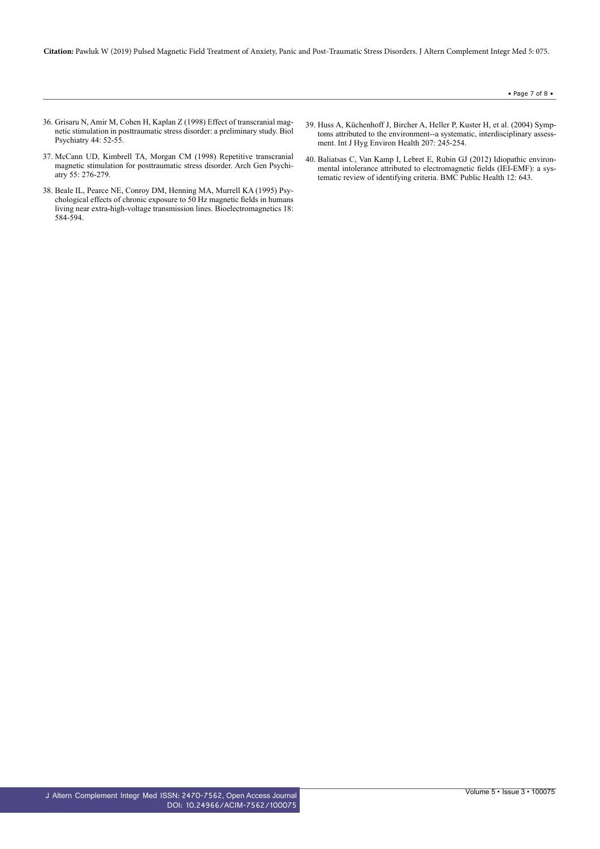#### • Page 7 of 8  $\bullet$

- 36. Grisaru N, Amir M, Cohen H, Kaplan Z (1998) Effect of [transcranial](https://www.ncbi.nlm.nih.gov/pubmed/9646883) magnetic stimulation in [posttraumatic](https://www.ncbi.nlm.nih.gov/pubmed/9646883) stress disorder: a preliminary study. Biol [Psychiatry](https://www.ncbi.nlm.nih.gov/pubmed/9646883) 44: 52-55.
- 37. McCann UD, Kimbrell TA, Morgan CM (1998) Repetitive [transcranial](https://jamanetwork.com/journals/jamapsychiatry/article-abstract/190913) magnetic stimulation for [posttraumatic](https://jamanetwork.com/journals/jamapsychiatry/article-abstract/190913) stress disorder. Arch Gen Psychiatry 55: [276-279.](https://jamanetwork.com/journals/jamapsychiatry/article-abstract/190913)
- 38. Beale IL, Pearce NE, Conroy DM, [Henning](https://www.ncbi.nlm.nih.gov/pubmed/9383247) MA, Murrell KA (1995) Psy[chological](https://www.ncbi.nlm.nih.gov/pubmed/9383247) effects of chronic exposure to 50 Hz magnetic fields in humans living near extra-high-voltage transmission lines. [Bioelectromagnetics](https://www.ncbi.nlm.nih.gov/pubmed/9383247) 18: [584-594.](https://www.ncbi.nlm.nih.gov/pubmed/9383247)
- 39. Huss A, [Küchenhoff](https://www.ncbi.nlm.nih.gov/pubmed/15330392) J, Bircher A, Heller P, Kuster H, et al. (2004) Symptoms attributed to the environment--a systematic, [interdisciplinary](https://www.ncbi.nlm.nih.gov/pubmed/15330392) assessment. Int J Hyg Environ Health 207: [245-254.](https://www.ncbi.nlm.nih.gov/pubmed/15330392)
- 40. Baliatsas C, Van Kamp I, Lebret E, Rubin GJ (2012) [Idiopathic](https://www.ncbi.nlm.nih.gov/pubmed/22883305) environmental intolerance attributed to [electromagnetic](https://www.ncbi.nlm.nih.gov/pubmed/22883305) fields (IEI-EMF): a systematic review of [identifying](https://www.ncbi.nlm.nih.gov/pubmed/22883305) criteria. BMC Public Health 12: 643.